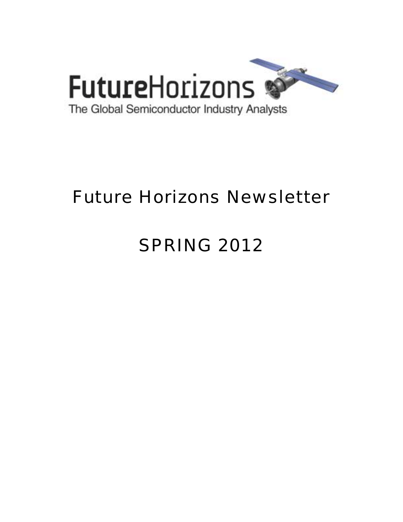

## Future Horizons Newsletter

# SPRING 2012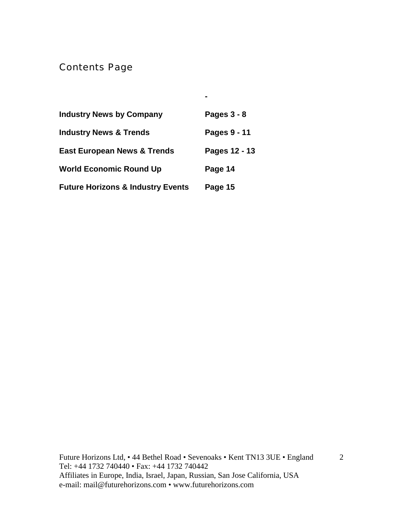### Contents Page

| <b>Industry News by Company</b>              | Pages $3 - 8$ |
|----------------------------------------------|---------------|
| <b>Industry News &amp; Trends</b>            | Pages 9 - 11  |
| <b>East European News &amp; Trends</b>       | Pages 12 - 13 |
| <b>World Economic Round Up</b>               | Page 14       |
| <b>Future Horizons &amp; Industry Events</b> | Page 15       |

**-**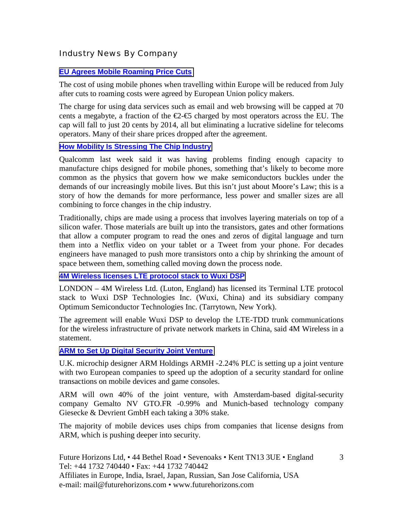#### Industry News By Company

#### **[EU Agrees Mobile Roaming Price Cuts](http://www.ft.com/cms/s/0/db9503ec-78e3-11e1-9f49-00144feab49a.html#axzz1qryG6xgp)**

The cost of using mobile phones when travelling within Europe will be reduced from July after cuts to roaming costs were agreed by European Union policy makers.

The charge for using data services such as email and web browsing will be capped at 70 cents a megabyte, a fraction of the  $\epsilon \to \epsilon$  charged by most operators across the EU. The cap will fall to just 20 cents by 2014, all but eliminating a lucrative sideline for telecoms operators. Many of their share prices dropped after the agreement.

#### **[How Mobility Is Stressing The Chip Industry](http://gigaom.com/2012/04/21/how-mobility-is-stressing-the-chip-industry/)**

Qualcomm last week said it was having problems finding enough capacity to manufacture chips designed for mobile phones, something that's likely to become more common as the physics that govern how we make semiconductors buckles under the demands of our increasingly mobile lives. But this isn't just about Moore's Law; this is a story of how the demands for more performance, less power and smaller sizes are all combining to force changes in the chip industry.

Traditionally, chips are made using a process that involves layering materials on top of a silicon wafer. Those materials are built up into the transistors, gates and other formations that allow a computer program to read the ones and zeros of digital language and turn them into a Netflix video on your tablet or a Tweet from your phone. For decades engineers have managed to push more transistors onto a chip by shrinking the amount of space between them, something called moving down the process node.

#### **[4M Wireless licenses LTE protocol stack to Wuxi DSP](http://www.embedded.com/electronics-news/4370597/4M-Wireless-licenses-LTE-protocol-stack-to-Wuxi-DSP)**

LONDON – 4M Wireless Ltd. (Luton, England) has licensed its Terminal LTE protocol stack to Wuxi DSP Technologies Inc. (Wuxi, China) and its subsidiary company Optimum Semiconductor Technologies Inc. (Tarrytown, New York).

The agreement will enable Wuxi DSP to develop the LTE-TDD trunk communications for the wireless infrastructure of private network markets in China, said 4M Wireless in a statement.

#### **[ARM to Set Up Digital Security Joint Venture](http://online.wsj.com/article/SB10001424052702304023504577320991836387730.html?mod=djemTECH_t)**

U.K. microchip designer ARM Holdings ARMH -2.24% PLC is setting up a joint venture with two European companies to speed up the adoption of a security standard for online transactions on mobile devices and game consoles.

ARM will own 40% of the joint venture, with Amsterdam-based digital-security company Gemalto NV GTO.FR -0.99% and Munich-based technology company Giesecke & Devrient GmbH each taking a 30% stake.

The majority of mobile devices uses chips from companies that license designs from ARM, which is pushing deeper into security.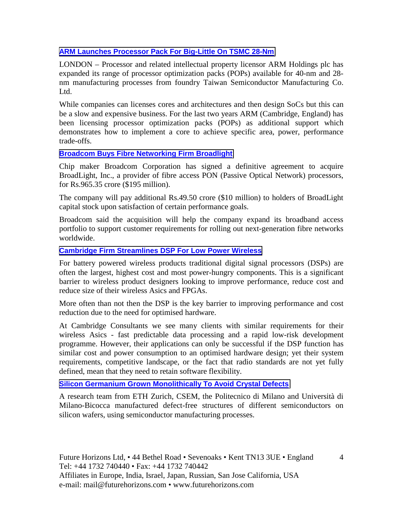#### **[ARM Launches Processor Pack For Big-Little On TSMC 28-Nm](http://www.eetimes.com/electronics-news/4370984/ARM-POP-big-little-TSMC)**

LONDON – Processor and related intellectual property licensor ARM Holdings plc has expanded its range of processor optimization packs (POPs) available for 40-nm and 28 nm manufacturing processes from foundry Taiwan Semiconductor Manufacturing Co. Ltd.

While companies can licenses cores and architectures and then design SoCs but this can be a slow and expensive business. For the last two years ARM (Cambridge, England) has been licensing processor optimization packs (POPs) as additional support which demonstrates how to implement a core to achieve specific area, power, performance trade-offs.

#### **[Broadcom Buys Fibre Networking Firm Broadlight](http://www.eetindia.co.in/ART_8800663717_1800006_NT_beb64edc.HTM?8800092100&8800663717&click_from=8800092100,9950114561,2012-03-23,EEIOL,ARTICLE_ALERT)**

Chip maker Broadcom Corporation has signed a definitive agreement to acquire BroadLight, Inc., a provider of fibre access PON (Passive Optical Network) processors, for Rs.965.35 crore (\$195 million).

The company will pay additional Rs.49.50 crore (\$10 million) to holders of BroadLight capital stock upon satisfaction of certain performance goals.

Broadcom said the acquisition will help the company expand its broadband access portfolio to support customer requirements for rolling out next-generation fibre networks worldwide.

#### **[Cambridge Firm Streamlines DSP For Low Power Wireless](http://www.electronicsweekly.com/Articles/16/04/2012/53420/cambridge-firm-streamlines-dsp-for-low-power-wireless.htm)**

For battery powered wireless products traditional digital signal processors (DSPs) are often the largest, highest cost and most power-hungry components. This is a significant barrier to wireless product designers looking to improve performance, reduce cost and reduce size of their wireless Asics and FPGAs.

More often than not then the DSP is the key barrier to improving performance and cost reduction due to the need for optimised hardware.

At Cambridge Consultants we see many clients with similar requirements for their wireless Asics - fast predictable data processing and a rapid low-risk development programme. However, their applications can only be successful if the DSP function has similar cost and power consumption to an optimised hardware design; yet their system requirements, competitive landscape, or the fact that radio standards are not yet fully defined, mean that they need to retain software flexibility.

#### **[Silicon Germanium Grown Monolithically To Avoid Crystal Defects](http://www.electroiq.com/articles/sst/2012/03/silicon-germanium-grown-monolithically-to-avoid-crystal-defects.html)**

A research team from ETH Zurich, CSEM, the Politecnico di Milano and Università di Milano-Bicocca manufactured defect-free structures of different semiconductors on silicon wafers, using semiconductor manufacturing processes.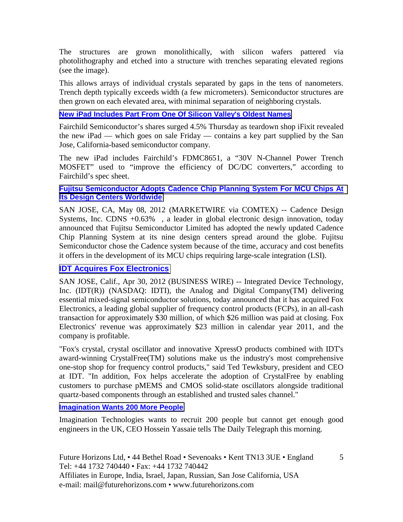The structures are grown monolithically, with silicon wafers pattered via photolithography and etched into a structure with trenches separating elevated regions (see the image).

This allows arrays of individual crystals separated by gaps in the tens of nanometers. Trench depth typically exceeds width (a few micrometers). Semiconductor structures are then grown on each elevated area, with minimal separation of neighboring crystals.

#### **[New iPad Includes Part From One Of Silicon Valley's Oldest Names](http://www.forbes.com/sites/briancaulfield/2012/03/15/new-ipad-pushes-up-shares-of-one-of-silicon-valleys-oldest-names/)**

Fairchild Semiconductor's shares surged 4.5% Thursday as teardown shop iFixit revealed the new iPad — which goes on sale Friday — contains a key part supplied by the San Jose, California-based semiconductor company.

The new iPad includes Fairchild's FDMC8651, a "30V N-Channel Power Trench MOSFET" used to "improve the efficiency of DC/DC converters," according to Fairchild's spec sheet.

#### **[Fujitsu Semiconductor Adopts Cadence Chip Planning System For MCU Chips At](http://www.marketwatch.com/story/fujitsu-semiconductor-adopts-cadence-chip-planning-system-for-mcu-chips-at-its-design-centers-worldwide-2012-05-08?reflink=MW_news_stmp)  [Its Design Centers Worldwide](http://www.marketwatch.com/story/fujitsu-semiconductor-adopts-cadence-chip-planning-system-for-mcu-chips-at-its-design-centers-worldwide-2012-05-08?reflink=MW_news_stmp)**

SAN JOSE, CA, May 08, 2012 (MARKETWIRE via COMTEX) -- Cadence Design Systems, Inc. CDNS +0.63% , a leader in global electronic design innovation, today announced that Fujitsu Semiconductor Limited has adopted the newly updated Cadence Chip Planning System at its nine design centers spread around the globe. Fujitsu Semiconductor chose the Cadence system because of the time, accuracy and cost benefits it offers in the development of its MCU chips requiring large-scale integration (LSI).

#### **[IDT Acquires Fox Electronics](http://www.marketwatch.com/story/idt-acquires-fox-electronics-2012-04-30)**

SAN JOSE, Calif., Apr 30, 2012 (BUSINESS WIRE) -- Integrated Device Technology, Inc. (IDT(R)) (NASDAQ: IDTI), the Analog and Digital Company(TM) delivering essential mixed-signal semiconductor solutions, today announced that it has acquired Fox Electronics, a leading global supplier of frequency control products (FCPs), in an all-cash transaction for approximately \$30 million, of which \$26 million was paid at closing. Fox Electronics' revenue was approximately \$23 million in calendar year 2011, and the company is profitable.

"Fox's crystal, crystal oscillator and innovative XpressO products combined with IDT's award-winning CrystalFree(TM) solutions make us the industry's most comprehensive one-stop shop for frequency control products," said Ted Tewksbury, president and CEO at IDT. "In addition, Fox helps accelerate the adoption of CrystalFree by enabling customers to purchase pMEMS and CMOS solid-state oscillators alongside traditional quartz-based components through an established and trusted sales channel."

#### **[Imagination Wants 200 More People](http://www.electronicsweekly.com/Articles/16/04/2012/53435/imagination-wants-200-more-people.htm)**

Imagination Technologies wants to recruit 200 people but cannot get enough good engineers in the UK, CEO Hossein Yassaie tells The Daily Telegraph this morning.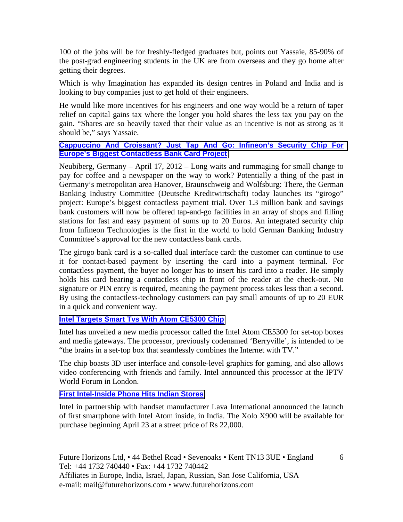100 of the jobs will be for freshly-fledged graduates but, points out Yassaie, 85-90% of the post-grad engineering students in the UK are from overseas and they go home after getting their degrees.

Which is why Imagination has expanded its design centres in Poland and India and is looking to buy companies just to get hold of their engineers.

He would like more incentives for his engineers and one way would be a return of taper relief on capital gains tax where the longer you hold shares the less tax you pay on the gain. "Shares are so heavily taxed that their value as an incentive is not as strong as it should be," says Yassaie.

#### **[Cappuccino And Croissant? Just Tap And Go: Infineon's Security Chip For](http://www.infineon.com/cms/en/corporate/press/news/releases/2012/INFCCS201204-035.html)  [Europe's Biggest Contactless Bank Card Project](http://www.infineon.com/cms/en/corporate/press/news/releases/2012/INFCCS201204-035.html)**

Neubiberg, Germany – April 17, 2012 – Long waits and rummaging for small change to pay for coffee and a newspaper on the way to work? Potentially a thing of the past in Germany's metropolitan area Hanover, Braunschweig and Wolfsburg: There, the German Banking Industry Committee (Deutsche Kreditwirtschaft) today launches its "girogo" project: Europe's biggest contactless payment trial. Over 1.3 million bank and savings bank customers will now be offered tap-and-go facilities in an array of shops and filling stations for fast and easy payment of sums up to 20 Euros. An integrated security chip from Infineon Technologies is the first in the world to hold German Banking Industry Committee's approval for the new contactless bank cards.

The girogo bank card is a so-called dual interface card: the customer can continue to use it for contact-based payment by inserting the card into a payment terminal. For contactless payment, the buyer no longer has to insert his card into a reader. He simply holds his card bearing a contactless chip in front of the reader at the check-out. No signature or PIN entry is required, meaning the payment process takes less than a second. By using the contactless-technology customers can pay small amounts of up to 20 EUR in a quick and convenient way.

#### **[Intel Targets Smart Tvs With Atom CE5300 Chip](http://www.eetindia.co.in/ART_8800663534_1800001_NT_2839d64b.HTM?click_from=8800092018,9950114561,2012-03-21,EEIOL,ARTICLE_ALERT)**

Intel has unveiled a new media processor called the Intel Atom CE5300 for set-top boxes and media gateways. The processor, previously codenamed 'Berryville', is intended to be "the brains in a set-top box that seamlessly combines the Internet with TV."

The chip boasts 3D user interface and console-level graphics for gaming, and also allows video conferencing with friends and family. Intel announced this processor at the IPTV World Forum in London.

#### **[First Intel-Inside Phone Hits Indian Stores](http://www.eetindia.co.in/ART_8800665575_1800012_NT_67cff462.HTM?click_from=8800093244,9950114561,2012-04-23,EEIOL,ARTICLE_ALERT)**

Intel in partnership with handset manufacturer Lava International announced the launch of first smartphone with Intel Atom inside, in India. The Xolo X900 will be available for purchase beginning April 23 at a street price of Rs 22,000.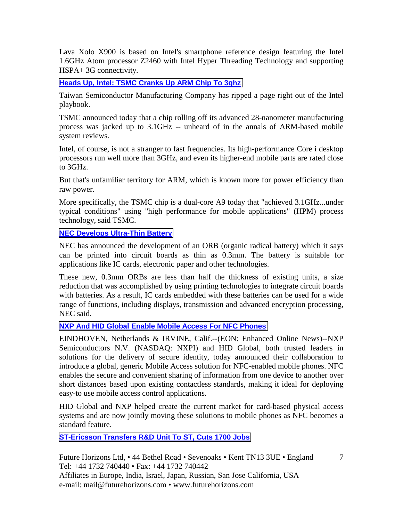Lava Xolo X900 is based on Intel's smartphone reference design featuring the Intel 1.6GHz Atom processor Z2460 with Intel Hyper Threading Technology and supporting HSPA+ 3G connectivity.

#### **[Heads Up, Intel: TSMC Cranks Up ARM Chip To 3ghz](http://news.cnet.com/8301-1001_3-57427681-92/heads-up-intel-tsmc-cranks-up-arm-chip-to-3ghz/)**

Taiwan Semiconductor Manufacturing Company has ripped a page right out of the Intel playbook.

TSMC announced today that a chip rolling off its advanced 28-nanometer manufacturing process was jacked up to 3.1GHz -- unheard of in the annals of ARM-based mobile system reviews.

Intel, of course, is not a stranger to fast frequencies. Its high-performance Core i desktop processors run well more than 3GHz, and even its higher-end mobile parts are rated close to 3GHz.

But that's unfamiliar territory for ARM, which is known more for power efficiency than raw power.

More specifically, the TSMC chip is a dual-core A9 today that "achieved 3.1GHz...under typical conditions" using "high performance for mobile applications" (HPM) process technology, said TSMC.

#### **[NEC Develops Ultra-Thin Battery](http://www.eetindia.co.in/ART_8800663465_1800008_NT_84723b93.HTM?click_from=8800091982,9950114561,2012-03-20,EEIOL,ARTICLE_ALERT)**

NEC has announced the development of an ORB (organic radical battery) which it says can be printed into circuit boards as thin as 0.3mm. The battery is suitable for applications like IC cards, electronic paper and other technologies.

These new, 0.3mm ORBs are less than half the thickness of existing units, a size reduction that was accomplished by using printing technologies to integrate circuit boards with batteries. As a result, IC cards embedded with these batteries can be used for a wide range of functions, including displays, transmission and advanced encryption processing, NEC said.

#### **[NXP And HID Global Enable Mobile Access For NFC Phones](http://eon.businesswire.com/news/eon/20120329005425/en/NXP/HID-Global/NFC)**

EINDHOVEN, Netherlands & IRVINE, Calif.--(EON: Enhanced Online News)--NXP Semiconductors N.V. (NASDAQ: NXPI) and HID Global, both trusted leaders in solutions for the delivery of secure identity, today announced their collaboration to introduce a global, generic Mobile Access solution for NFC-enabled mobile phones. NFC enables the secure and convenient sharing of information from one device to another over short distances based upon existing contactless standards, making it ideal for deploying easy-to use mobile access control applications.

HID Global and NXP helped create the current market for card-based physical access systems and are now jointly moving these solutions to mobile phones as NFC becomes a standard feature.

#### **[ST-Ericsson Transfers R&D Unit To ST, Cuts 1700 Jobs](http://www.eetindia.co.in/ART_8800665661_1800012_NT_b05121ec.HTM?click_from=8800093275,9950114561,2012-04-24,EEIOL,ARTICLE_ALERT)**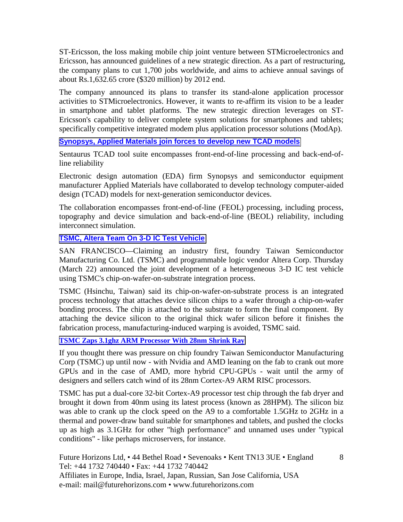ST-Ericsson, the loss making mobile chip joint venture between STMicroelectronics and Ericsson, has announced guidelines of a new strategic direction. As a part of restructuring, the company plans to cut 1,700 jobs worldwide, and aims to achieve annual savings of about Rs.1,632.65 crore (\$320 million) by 2012 end.

The company announced its plans to transfer its stand-alone application processor activities to STMicroelectronics. However, it wants to re-affirm its vision to be a leader in smartphone and tablet platforms. The new strategic direction leverages on ST-Ericsson's capability to deliver complete system solutions for smartphones and tablets; specifically competitive integrated modem plus application processor solutions (ModAp).

**[Synopsys, Applied Materials join forces to develop new TCAD models](http://microelectronics.cbronline.com/news/synopsys-applied-materials-join-forces-to-develop-new-tcad-models-160312)**

Sentaurus TCAD tool suite encompasses front-end-of-line processing and back-end-ofline reliability

Electronic design automation (EDA) firm Synopsys and semiconductor equipment manufacturer Applied Materials have collaborated to develop technology computer-aided design (TCAD) models for next-generation semiconductor devices.

The collaboration encompasses front-end-of-line (FEOL) processing, including process, topography and device simulation and back-end-of-line (BEOL) reliability, including interconnect simulation.

#### **[TSMC, Altera Team On 3-D IC Test Vehicle](http://www.embedded.com/electronics-news/4304103/TSMC--Altera-team-on-3-D-IC-test-vehicle-)**

SAN FRANCISCO—Claiming an industry first, foundry Taiwan Semiconductor Manufacturing Co. Ltd. (TSMC) and programmable logic vendor Altera Corp. Thursday (March 22) announced the joint development of a heterogeneous 3-D IC test vehicle using TSMC's chip-on-wafer-on-substrate integration process.

TSMC (Hsinchu, Taiwan) said its chip-on-wafer-on-substrate process is an integrated process technology that attaches device silicon chips to a wafer through a chip-on-wafer bonding process. The chip is attached to the substrate to form the final component. By attaching the device silicon to the original thick wafer silicon before it finishes the fabrication process, manufacturing-induced warping is avoided, TSMC said.

#### **[TSMC Zaps 3.1ghz ARM Processor With 28nm Shrink Ray](http://www.theregister.co.uk/2012/05/08/tsmc_28_nanometer_cortex_a9_arm/)**

If you thought there was pressure on chip foundry Taiwan Semiconductor Manufacturing Corp (TSMC) up until now - with Nvidia and AMD leaning on the fab to crank out more GPUs and in the case of AMD, more hybrid CPU-GPUs - wait until the army of designers and sellers catch wind of its 28nm Cortex-A9 ARM RISC processors.

TSMC has put a dual-core 32-bit Cortex-A9 processor test chip through the fab dryer and brought it down from 40nm using its latest process (known as 28HPM). The silicon biz was able to crank up the clock speed on the A9 to a comfortable 1.5GHz to 2GHz in a thermal and power-draw band suitable for smartphones and tablets, and pushed the clocks up as high as 3.1GHz for other "high performance" and unnamed uses under "typical conditions" - like perhaps microservers, for instance.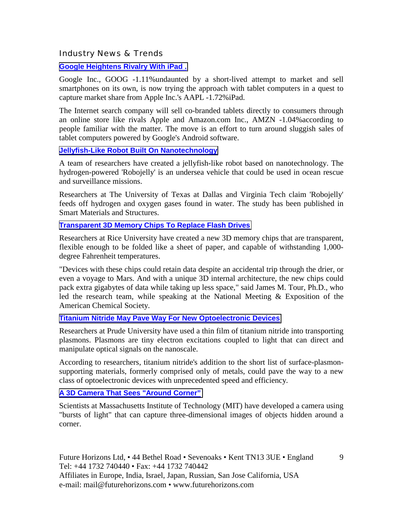#### Industry News & Trends

#### **[Google Heightens Rivalry With iPad .](http://online.wsj.com/article/SB10001424052702303404704577312043639469540.html?mod=djemalertTECH)**

Google Inc., GOOG -1.11%undaunted by a short-lived attempt to market and sell smartphones on its own, is now trying the approach with tablet computers in a quest to capture market share from Apple Inc.'s AAPL -1.72%iPad.

The Internet search company will sell co-branded tablets directly to consumers through an online store like rivals Apple and Amazon.com Inc., AMZN -1.04%according to people familiar with the matter. The move is an effort to turn around sluggish sales of tablet computers powered by Google's Android software.

#### **[Jellyfish-Like Robot Built On Nanotechnology](http://www.eetindia.co.in/ART_8800663918_1800008_NT_d5844553.HTM?8800092263&8800663918&click_from=8800092263,9950114561,2012-03-27,EEIOL,ARTICLE_ALERT)**

A team of researchers have created a jellyfish-like robot based on nanotechnology. The hydrogen-powered 'Robojelly' is an undersea vehicle that could be used in ocean rescue and surveillance missions.

Researchers at The University of Texas at Dallas and Virginia Tech claim 'Robojelly' feeds off hydrogen and oxygen gases found in water. The study has been published in Smart Materials and Structures.

#### **[Transparent 3D Memory Chips To Replace Flash Drives](http://www.eetindia.co.in/ART_8800664102_1800009_NT_39e3a319.HTM?click_from=8800092338,9950114561,2012-03-29,EEIOL,ARTICLE_ALERT&jumpto=view_welcomead_1333129570280)**

Researchers at Rice University have created a new 3D memory chips that are transparent, flexible enough to be folded like a sheet of paper, and capable of withstanding 1,000 degree Fahrenheit temperatures.

"Devices with these chips could retain data despite an accidental trip through the drier, or even a voyage to Mars. And with a unique 3D internal architecture, the new chips could pack extra gigabytes of data while taking up less space," said James M. Tour, Ph.D., who led the research team, while speaking at the National Meeting & Exposition of the American Chemical Society.

#### **[Titanium Nitride May Pave Way For New Optoelectronic Devices](http://www.eetindia.co.in/ART_8800664171_1800010_NT_a086a41d.HTM?click_from=8800092381,9950114561,2012-03-30,EEIOL,ARTICLE_ALERT)**

Researchers at Prude University have used a thin film of titanium nitride into transporting plasmons. Plasmons are tiny electron excitations coupled to light that can direct and manipulate optical signals on the nanoscale.

According to researchers, titanium nitride's addition to the short list of surface-plasmonsupporting materials, formerly comprised only of metals, could pave the way to a new class of optoelectronic devices with unprecedented speed and efficiency.

#### **[A 3D Camera That Sees "Around Corner"](http://www.eetindia.co.in/ART_8800663818_1800010_NT_5f011fcd.HTM)**

Scientists at Massachusetts Institute of Technology (MIT) have developed a camera using "bursts of light" that can capture three-dimensional images of objects hidden around a corner.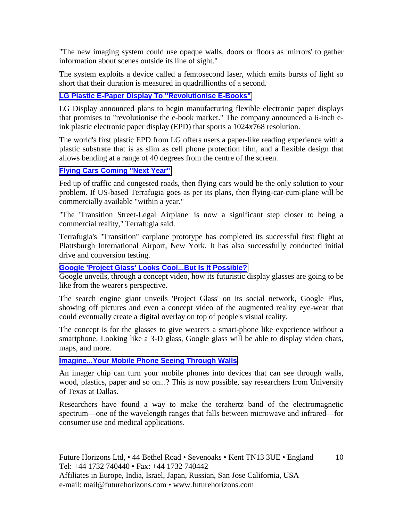"The new imaging system could use opaque walls, doors or floors as 'mirrors' to gather information about scenes outside its line of sight."

The system exploits a device called a femtosecond laser, which emits bursts of light so short that their duration is measured in quadrillionths of a second.

#### **[LG Plastic E-Paper Display To "Revolutionise E-Books"](http://www.eetindia.co.in/ART_8800664343_1800010_NT_3a184c8f.HTM)**

LG Display announced plans to begin manufacturing flexible electronic paper displays that promises to "revolutionise the e-book market." The company announced a 6-inch eink plastic electronic paper display (EPD) that sports a 1024x768 resolution.

The world's first plastic EPD from LG offers users a paper-like reading experience with a plastic substrate that is as slim as cell phone protection film, and a flexible design that allows bending at a range of 40 degrees from the centre of the screen.

#### **[Flying Cars Coming "Next Year"](http://www.eetindia.co.in/ART_8800664405_1800007_NT_ab3fa38b.HTM?click_from=8800092534,9950114561,2012-04-03,EEIOL,ARTICLE_ALERT)**

Fed up of traffic and congested roads, then flying cars would be the only solution to your problem. If US-based Terrafugia goes as per its plans, then flying-car-cum-plane will be commercially available "within a year."

"The 'Transition Street-Legal Airplane' is now a significant step closer to being a commercial reality," Terrafugia said.

Terrafugia's "Transition" carplane prototype has completed its successful first flight at Plattsburgh International Airport, New York. It has also successfully conducted initial drive and conversion testing.

#### **[Google 'Project Glass' Looks Cool...But Is It Possible?](http://www.eetindia.co.in/ARTP_8800664698_1800015.HTM)**

Google unveils, through a concept video, how its futuristic display glasses are going to be like from the wearer's perspective.

The search engine giant unveils 'Project Glass' on its social network, Google Plus, showing off pictures and even a concept video of the augmented reality eye-wear that could eventually create a digital overlay on top of people's visual reality.

The concept is for the glasses to give wearers a smart-phone like experience without a smartphone. Looking like a 3-D glass, Google glass will be able to display video chats, maps, and more.

**[Imagine...Your Mobile Phone Seeing Through Walls](http://www.eetindia.co.in/ART_8800665402_1800010_NT_4034d86b.HTM?click_from=8800093098,9950114561,2012-04-19,EEIOL,ARTICLE_ALERT)**

An imager chip can turn your mobile phones into devices that can see through walls, wood, plastics, paper and so on...? This is now possible, say researchers from University of Texas at Dallas.

Researchers have found a way to make the terahertz band of the electromagnetic spectrum—one of the wavelength ranges that falls between microwave and infrared—for consumer use and medical applications.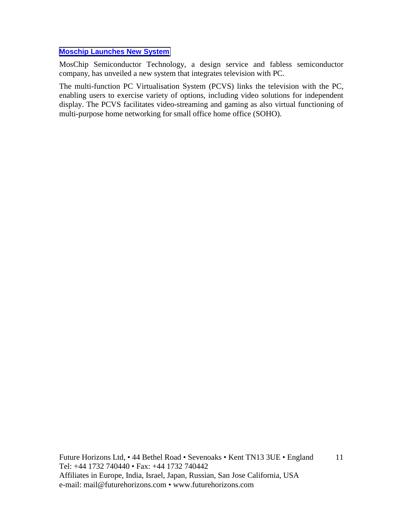#### **[Moschip Launches New System](http://www.thehindu.com/business/companies/article3380879.ece)**

MosChip Semiconductor Technology, a design service and fabless semiconductor company, has unveiled a new system that integrates television with PC.

The multi-function PC Virtualisation System (PCVS) links the television with the PC, enabling users to exercise variety of options, including video solutions for independent display. The PCVS facilitates video-streaming and gaming as also virtual functioning of multi-purpose home networking for small office home office (SOHO).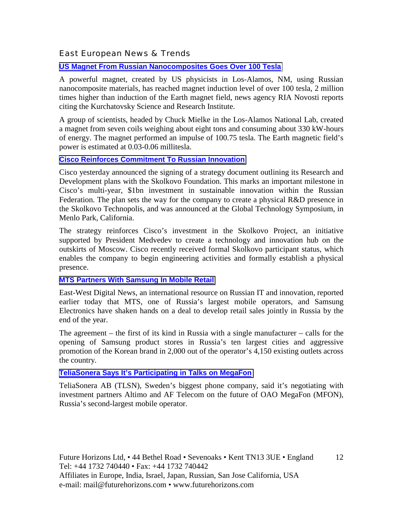#### East European News & Trends

#### **[US Magnet From Russian Nanocomposites Goes Over 100 Tesla](http://www.marchmontnews.com/Technology-Innovation/Central-regions/18456-US-magnet-Russian-nanocomposites-goes-over-100-Tesla.html)**

A powerful magnet, created by US physicists in Los-Alamos, NM, using Russian nanocomposite materials, has reached magnet induction level of over 100 tesla, 2 million times higher than induction of the Earth magnet field, news agency RIA Novosti reports citing the Kurchatovsky Science and Research Institute.

A group of scientists, headed by Chuck Mielke in the Los-Alamos National Lab, created a magnet from seven coils weighing about eight tons and consuming about 330 kW-hours of energy. The magnet performed an impulse of 100.75 tesla. The Earth magnetic field's power is estimated at 0.03-0.06 millitesla.

#### **[Cisco Reinforces Commitment To Russian Innovation](http://www.marchmontnews.com/Technology-Innovation/Central-regions/18451-Cisco-reinforces-commitment-Russian-innovation.html)**

Cisco yesterday announced the signing of a strategy document outlining its Research and Development plans with the Skolkovo Foundation. This marks an important milestone in Cisco's multi-year, \$1bn investment in sustainable innovation within the Russian Federation. The plan sets the way for the company to create a physical R&D presence in the Skolkovo Technopolis, and was announced at the Global Technology Symposium, in Menlo Park, California.

The strategy reinforces Cisco's investment in the Skolkovo Project, an initiative supported by President Medvedev to create a technology and innovation hub on the outskirts of Moscow. Cisco recently received formal Skolkovo participant status, which enables the company to begin engineering activities and formally establish a physical presence.

#### **[MTS Partners With Samsung In Mobile Retail](http://www.marchmontnews.com/Telecoms-Media/Central-regions/18444-MTS-partners-with-Samsung-mobile-retail.html)**

East-West Digital News, an international resource on Russian IT and innovation, reported earlier today that MTS, one of Russia's largest mobile operators, and Samsung Electronics have shaken hands on a deal to develop retail sales jointly in Russia by the end of the year.

The agreement – the first of its kind in Russia with a single manufacturer – calls for the opening of Samsung product stores in Russia's ten largest cities and aggressive promotion of the Korean brand in 2,000 out of the operator's 4,150 existing outlets across the country.

#### **[TeliaSonera Says It's Participating in Talks on MegaFon](http://www.bloomberg.com/news/2012-04-11/teliasonera-says-it-s-participating-in-talks-on-megafon.html)**

TeliaSonera AB (TLSN), Sweden's biggest phone company, said it's negotiating with investment partners Altimo and AF Telecom on the future of OAO MegaFon (MFON), Russia's second-largest mobile operator.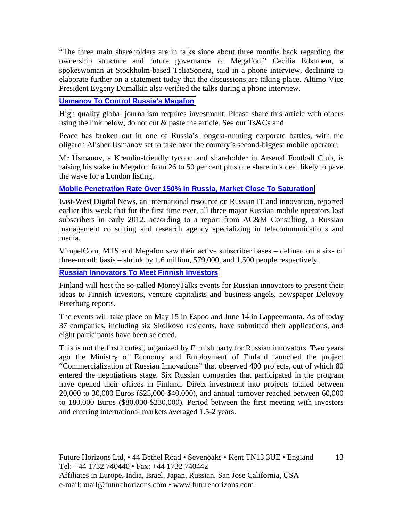"The three main shareholders are in talks since about three months back regarding the ownership structure and future governance of MegaFon," Cecilia Edstroem, a spokeswoman at Stockholm-based TeliaSonera, said in a phone interview, declining to elaborate further on a statement today that the discussions are taking place. Altimo Vice President Evgeny Dumalkin also verified the talks during a phone interview.

#### **[Usmanov To Control Russia's Megafon](http://www.ft.com/cms/s/0/0bb38bfc-8e33-11e1-bf8f-00144feab49a.html#axzz1t2ZpoqXV)**

High quality global journalism requires investment. Please share this article with others using the link below, do not cut  $\&$  paste the article. See our Ts & Cs and

Peace has broken out in one of Russia's longest-running corporate battles, with the oligarch Alisher Usmanov set to take over the country's second-biggest mobile operator.

Mr Usmanov, a Kremlin-friendly tycoon and shareholder in Arsenal Football Club, is raising his stake in Megafon from 26 to 50 per cent plus one share in a deal likely to pave the wave for a London listing.

#### **[Mobile Penetration Rate Over 150% In Russia, Market Close To Saturation](http://www.marchmontnews.com/Telecoms-Media/Central-regions/18597-Mobile-penetration-rate-over-150-Russia-market-close-saturation.html)**

East-West Digital News, an international resource on Russian IT and innovation, reported earlier this week that for the first time ever, all three major Russian mobile operators lost subscribers in early 2012, according to a report from AC&M Consulting, a Russian management consulting and research agency specializing in telecommunications and media.

VimpelCom, MTS and Megafon saw their active subscriber bases – defined on a six- or three-month basis – shrink by 1.6 million, 579,000, and 1,500 people respectively.

**[Russian Innovators To Meet Finnish Investors](http://www.marchmontnews.com/Technology-Innovation/North-West/18589-Russian-innovators-meet-Finnish-investors.html)**

Finland will host the so-called MoneyTalks events for Russian innovators to present their ideas to Finnish investors, venture capitalists and business-angels, newspaper Delovoy Peterburg reports.

The events will take place on May 15 in Espoo and June 14 in Lappeenranta. As of today 37 companies, including six Skolkovo residents, have submitted their applications, and eight participants have been selected.

This is not the first contest, organized by Finnish party for Russian innovators. Two years ago the Ministry of Economy and Employment of Finland launched the project "Commercialization of Russian Innovations" that observed 400 projects, out of which 80 entered the negotiations stage. Six Russian companies that participated in the program have opened their offices in Finland. Direct investment into projects totaled between 20,000 to 30,000 Euros (\$25,000-\$40,000), and annual turnover reached between 60,000 to 180,000 Euros (\$80,000-\$230,000). Period between the first meeting with investors and entering international markets averaged 1.5-2 years.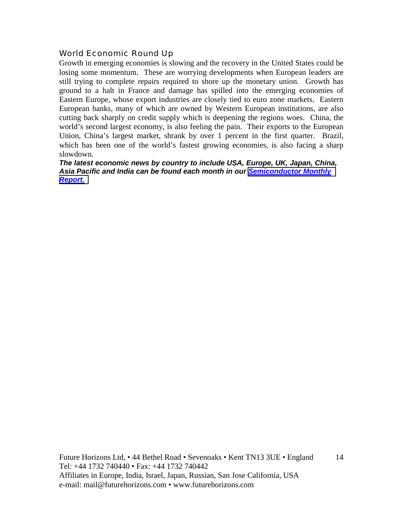#### World Economic Round Up

Growth in emerging economies is slowing and the recovery in the United States could be losing some momentum. These are worrying developments when European leaders are still trying to complete repairs required to shore up the monetary union. Growth has ground to a halt in France and damage has spilled into the emerging economies of Eastern Europe, whose export industries are closely tied to euro zone markets. Eastern European banks, many of which are owned by Western European institutions, are also cutting back sharply on credit supply which is deepening the regions woes. China, the world's second largest economy, is also feeling the pain. Their exports to the European Union, China's largest market, shrank by over 1 percent in the first quarter. Brazil, which has been one of the world's fastest growing economies, is also facing a sharp slowdown.

*The latest economic news by country to include USA, Europe, UK, Japan, China, Asia Pacific and India can be found each month in our [Semiconductor Monthly](http://www.futurehorizons.com/page/18/Global-Semiconductor-Report)  [Report.](http://www.futurehorizons.com/page/18/Global-Semiconductor-Report)*